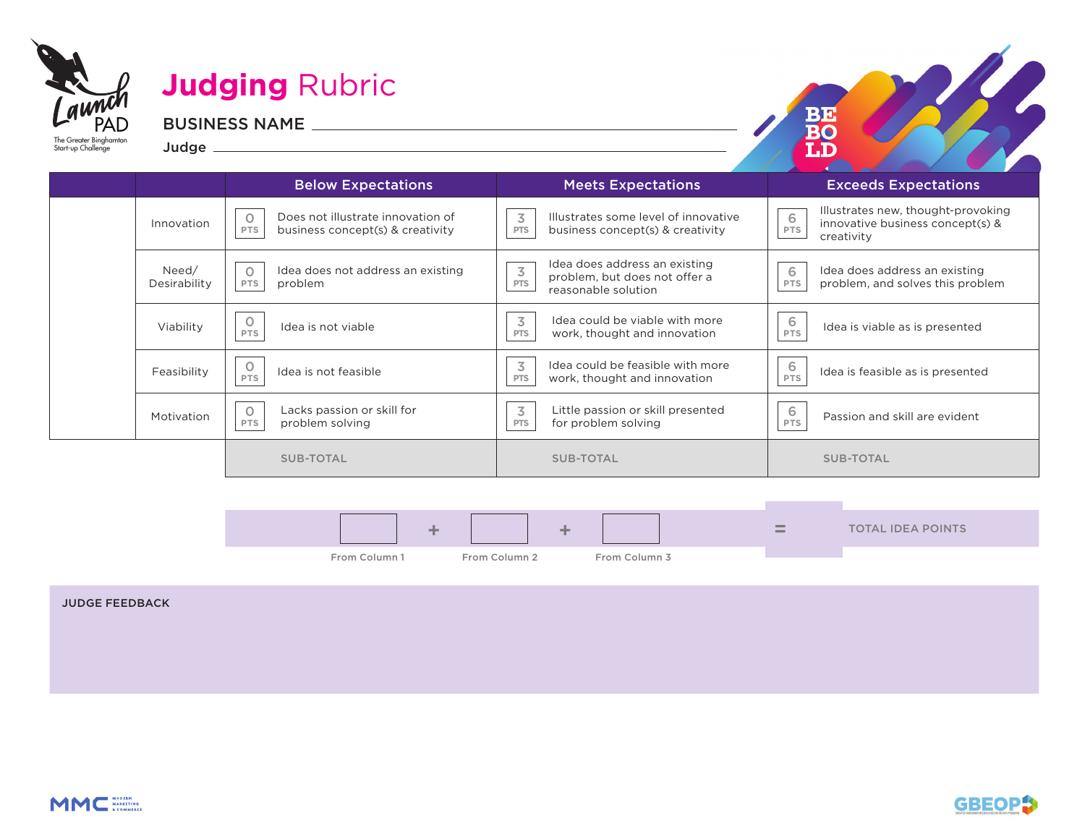| aunch<br>PAD<br>The Greater Binghamton<br>Start-up Challenge | Judge         | <b>Judging Rubric</b><br><b>BUSINESS NAME</b> |                                      | BJ 3                                                                        |
|--------------------------------------------------------------|---------------|-----------------------------------------------|--------------------------------------|-----------------------------------------------------------------------------|
|                                                              |               | <b>Below Expectations</b>                     | <b>Meets Expectations</b>            | <b>Exceeds Expectations</b>                                                 |
|                                                              | In particular | Does not illustrate innovation of             | Illustrates some level of innovative | Illustrates new, thought-provoking<br>6<br>innovative business consent(s) 8 |

| Innovation            | Does not illustrate innovation of<br>$\Omega$<br>business concept(s) & creativity<br><b>PTS</b> | 3<br>Illustrates some level of innovative<br>PTS<br>business concept(s) & creativity                                            | Illustrates new, thought-provoking<br>6<br>innovative business concept(s) &<br>PTS<br>creativity |
|-----------------------|-------------------------------------------------------------------------------------------------|---------------------------------------------------------------------------------------------------------------------------------|--------------------------------------------------------------------------------------------------|
| Need/<br>Desirability | Idea does not address an existing<br><b>PTS</b><br>problem                                      | Idea does address an existing<br>$\overline{\mathcal{S}}$<br>problem, but does not offer a<br><b>PTS</b><br>reasonable solution | Idea does address an existing<br>6<br>problem, and solves this problem<br>PTS                    |
| Viability             | Idea is not viable<br><b>PTS</b>                                                                | 3<br>Idea could be viable with more<br>work, thought and innovation<br><b>PTS</b>                                               | 6<br>Idea is viable as is presented<br>PTS                                                       |
| Feasibility           | $\circ$<br>Idea is not feasible<br>PTS                                                          | Idea could be feasible with more<br>3<br>work, thought and innovation<br>PTS                                                    | 6<br>Idea is feasible as is presented<br>PTS                                                     |
| Motivation            | Lacks passion or skill for<br>$\circ$<br>problem solving<br>PTS                                 | $\overline{3}$<br>Little passion or skill presented<br>for problem solving<br>PTS                                               | 6<br>Passion and skill are evident<br>PTS                                                        |
|                       | <b>SUB-TOTAL</b>                                                                                | <b>SUB-TOTAL</b>                                                                                                                | <b>SUB-TOTAL</b>                                                                                 |

| -             | <b>Sellen</b> |               | $\qquad \qquad \blacksquare$<br><b>The County</b> | <b>TOTAL IDEA POINTS</b> |
|---------------|---------------|---------------|---------------------------------------------------|--------------------------|
| From Column 1 | From Column 2 | From Column 3 |                                                   |                          |



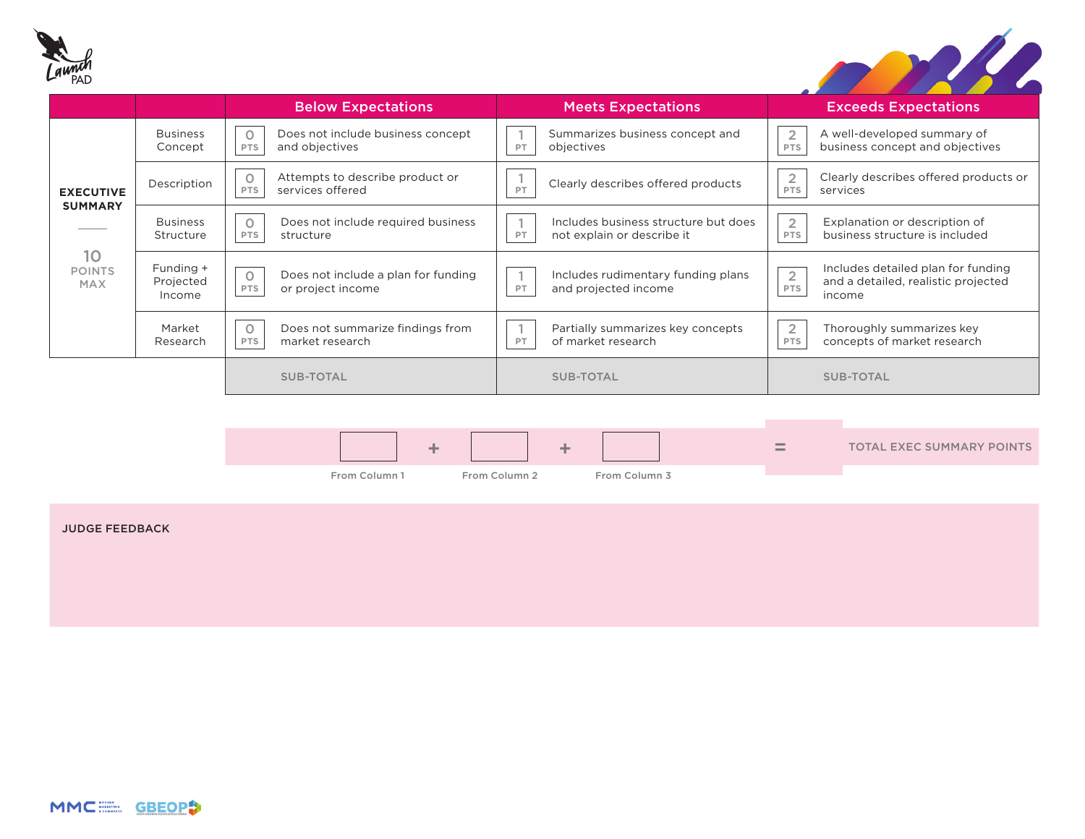



|                                   |                                  | <b>Below Expectations</b>                                                  | <b>Meets Expectations</b>                                                | <b>Exceeds Expectations</b>                                                                                  |
|-----------------------------------|----------------------------------|----------------------------------------------------------------------------|--------------------------------------------------------------------------|--------------------------------------------------------------------------------------------------------------|
| <b>EXECUTIVE</b>                  | <b>Business</b><br>Concept       | Does not include business concept<br>$\circ$<br>and objectives<br>PTS      | Summarizes business concept and<br>objectives<br>PT                      | $\overline{2}$<br>A well-developed summary of<br>business concept and objectives<br>PTS                      |
|                                   | Description                      | Attempts to describe product or<br>$\circ$<br>services offered<br>PTS      | Clearly describes offered products<br>PT                                 | $\overline{2}$<br>Clearly describes offered products or<br>PTS<br>services                                   |
| <b>SUMMARY</b>                    | <b>Business</b><br>Structure     | Does not include required business<br>$\circ$<br>PTS<br>structure          | Includes business structure but does<br>not explain or describe it<br>PT | $\overline{2}$<br>Explanation or description of<br>business structure is included<br><b>PTS</b>              |
| 10<br><b>POINTS</b><br><b>MAX</b> | Funding +<br>Projected<br>Income | Does not include a plan for funding<br>$\circ$<br>or project income<br>PTS | Includes rudimentary funding plans<br>and projected income<br>PT         | Includes detailed plan for funding<br>$\overline{2}$<br>and a detailed, realistic projected<br>PTS<br>income |
|                                   | Market<br>Research               | $\circ$<br>Does not summarize findings from<br>market research<br>PTS      | Partially summarizes key concepts<br>of market research<br>PT            | $\overline{2}$<br>Thoroughly summarizes key<br>concepts of market research<br>PTS                            |
|                                   |                                  | <b>SUB-TOTAL</b>                                                           | <b>SUB-TOTAL</b>                                                         | SUB-TOTAL                                                                                                    |
|                                   |                                  |                                                                            |                                                                          |                                                                                                              |

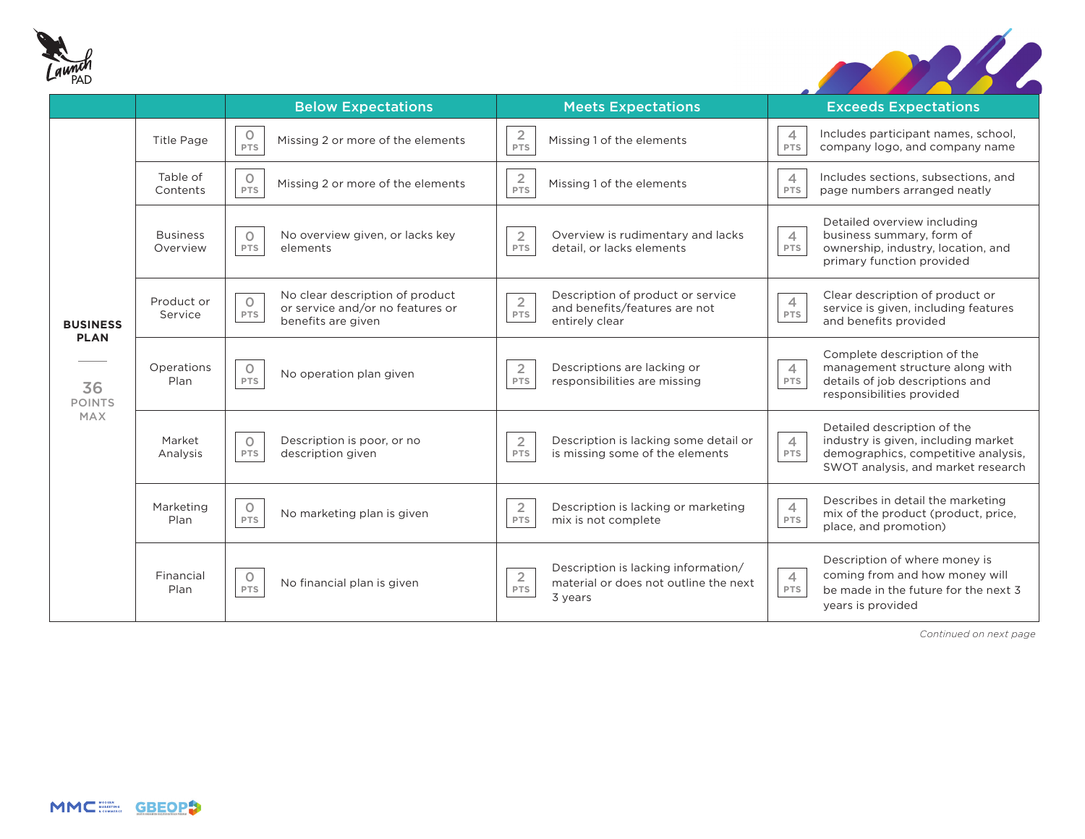



|                                                                     |                             | <b>Below Expectations</b>                                                                                   | <b>Meets Expectations</b>                                                                                        | <b>Exceeds Expectations</b>                                                                                                                                              |
|---------------------------------------------------------------------|-----------------------------|-------------------------------------------------------------------------------------------------------------|------------------------------------------------------------------------------------------------------------------|--------------------------------------------------------------------------------------------------------------------------------------------------------------------------|
| <b>BUSINESS</b><br><b>PLAN</b><br>36<br><b>POINTS</b><br><b>MAX</b> | <b>Title Page</b>           | 0<br>Missing 2 or more of the elements<br>PTS                                                               | $\overline{c}$<br>Missing 1 of the elements<br>PTS                                                               | Includes participant names, school,<br>$\overline{4}$<br>company logo, and company name<br>PTS                                                                           |
|                                                                     | Table of<br>Contents        | $\circ$<br>Missing 2 or more of the elements<br>PTS                                                         | $\overline{2}$<br>Missing 1 of the elements<br>PTS                                                               | Includes sections, subsections, and<br>$\overline{4}$<br>page numbers arranged neatly<br>PTS                                                                             |
|                                                                     | <b>Business</b><br>Overview | No overview given, or lacks key<br>$\circ$<br>PTS<br>elements                                               | Overview is rudimentary and lacks<br>$\overline{2}$<br>PTS<br>detail, or lacks elements                          | Detailed overview including<br>$\overline{4}$<br>business summary, form of<br>ownership, industry, location, and<br>PTS<br>primary function provided                     |
|                                                                     | Product or<br>Service       | No clear description of product<br>$\circ$<br>or service and/or no features or<br>PTS<br>benefits are given | Description of product or service<br>$\frac{2}{PTS}$<br>and benefits/features are not<br>entirely clear          | Clear description of product or<br>$\overline{4}$<br>service is given, including features<br>PTS<br>and benefits provided                                                |
|                                                                     | Operations<br>Plan          | $\circ$<br>No operation plan given<br>PTS                                                                   | $\overline{2}$<br>Descriptions are lacking or<br>responsibilities are missing<br>PTS                             | Complete description of the<br>$\overline{4}$<br>management structure along with<br>details of job descriptions and<br>PTS<br>responsibilities provided                  |
|                                                                     | Market<br>Analysis          | Description is poor, or no<br>$\circ$<br>description given<br>PTS                                           | Description is lacking some detail or<br>$\overline{2}$<br>PTS<br>is missing some of the elements                | Detailed description of the<br>$\overline{4}$<br>industry is given, including market<br>demographics, competitive analysis,<br>PTS<br>SWOT analysis, and market research |
|                                                                     | Marketing<br>Plan           | $\circ$<br>No marketing plan is given<br>PTS                                                                | $\overline{2}$<br>Description is lacking or marketing<br>PTS<br>mix is not complete                              | Describes in detail the marketing<br>$\overline{4}$<br>mix of the product (product, price,<br>PTS<br>place, and promotion)                                               |
|                                                                     | Financial<br>Plan           | O<br>No financial plan is given<br>PTS                                                                      | Description is lacking information/<br>$\overline{2}$<br>material or does not outline the next<br>PTS<br>3 years | Description of where money is<br>coming from and how money will<br>$\overline{4}$<br>PTS<br>be made in the future for the next 3<br>years is provided                    |

*Continued on next page*

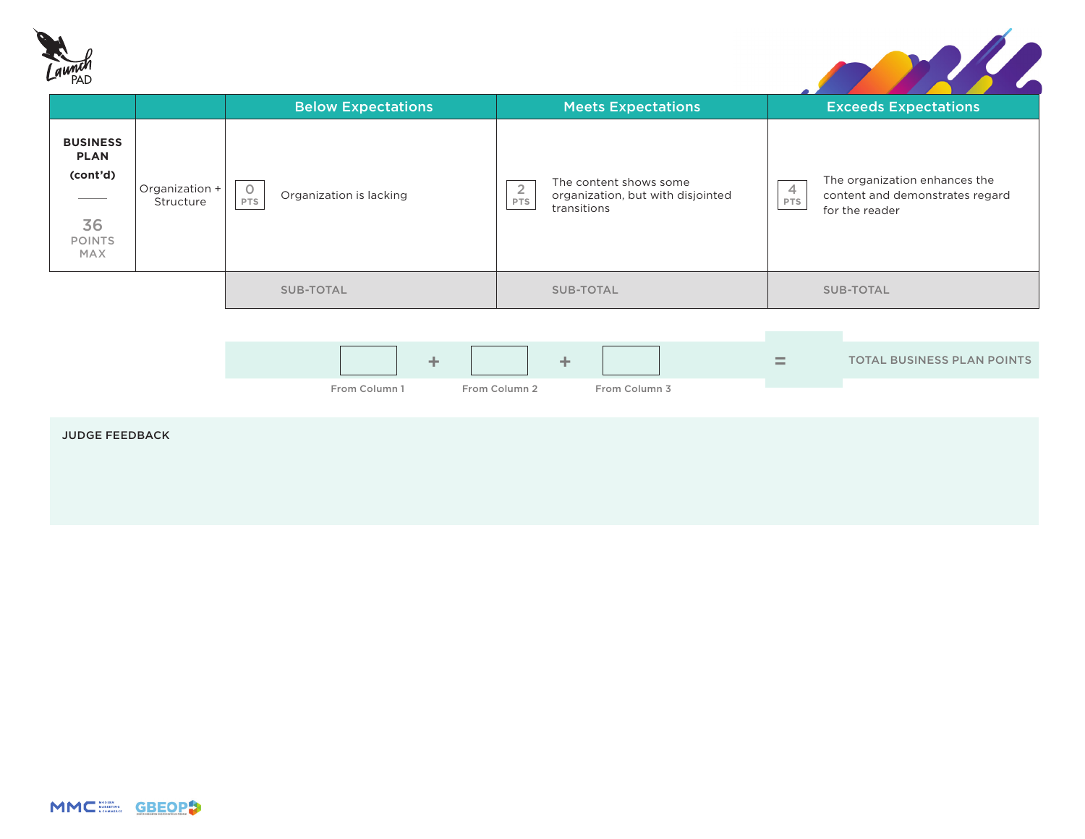



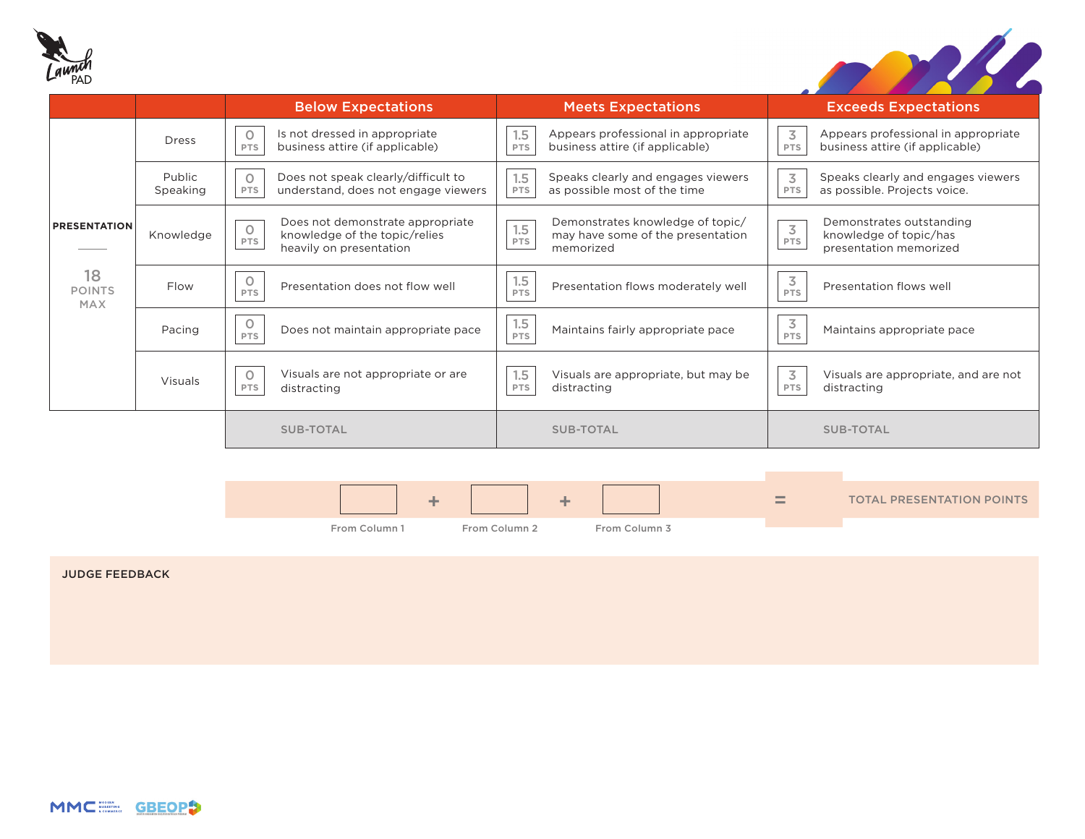



|                                   |                    | <b>Below Expectations</b>                                                                                             | <b>Meets Expectations</b>                                                                               | <b>Exceeds Expectations</b>                                                                           |
|-----------------------------------|--------------------|-----------------------------------------------------------------------------------------------------------------------|---------------------------------------------------------------------------------------------------------|-------------------------------------------------------------------------------------------------------|
|                                   | <b>Dress</b>       | Is not dressed in appropriate<br>$\circ$<br>business attire (if applicable)<br><b>PTS</b>                             | Appears professional in appropriate<br>1.5<br>business attire (if applicable)<br>PTS                    | 3<br>Appears professional in appropriate<br>business attire (if applicable)<br>PTS                    |
|                                   | Public<br>Speaking | Does not speak clearly/difficult to<br>$\circ$<br>understand, does not engage viewers<br><b>PTS</b>                   | 1.5<br>Speaks clearly and engages viewers<br>as possible most of the time<br>PTS                        | 3<br>Speaks clearly and engages viewers<br>as possible. Projects voice.<br>PTS                        |
| <b>PRESENTATION</b>               | Knowledge          | Does not demonstrate appropriate<br>$\circ$<br>knowledge of the topic/relies<br><b>PTS</b><br>heavily on presentation | Demonstrates knowledge of topic/<br>1.5<br>may have some of the presentation<br><b>PTS</b><br>memorized | Demonstrates outstanding<br>$\overline{3}$<br>knowledge of topic/has<br>PTS<br>presentation memorized |
| 18<br><b>POINTS</b><br><b>MAX</b> | Flow               | $\circ$<br>Presentation does not flow well<br>PTS                                                                     | 1.5<br>Presentation flows moderately well<br>PTS                                                        | $\frac{3}{PTS}$<br>Presentation flows well                                                            |
|                                   | Pacing             | $\circ$<br>Does not maintain appropriate pace<br>PTS                                                                  | 1.5<br>Maintains fairly appropriate pace<br><b>PTS</b>                                                  | $\frac{3}{PTS}$<br>Maintains appropriate pace                                                         |
|                                   | Visuals            | Visuals are not appropriate or are<br>$\circ$<br><b>PTS</b><br>distracting                                            | Visuals are appropriate, but may be<br>1.5<br>distracting<br>PTS                                        | 3<br>Visuals are appropriate, and are not<br>PTS<br>distracting                                       |
|                                   |                    | SUB-TOTAL                                                                                                             | <b>SUB-TOTAL</b>                                                                                        | <b>SUB-TOTAL</b>                                                                                      |
|                                   |                    |                                                                                                                       |                                                                                                         |                                                                                                       |